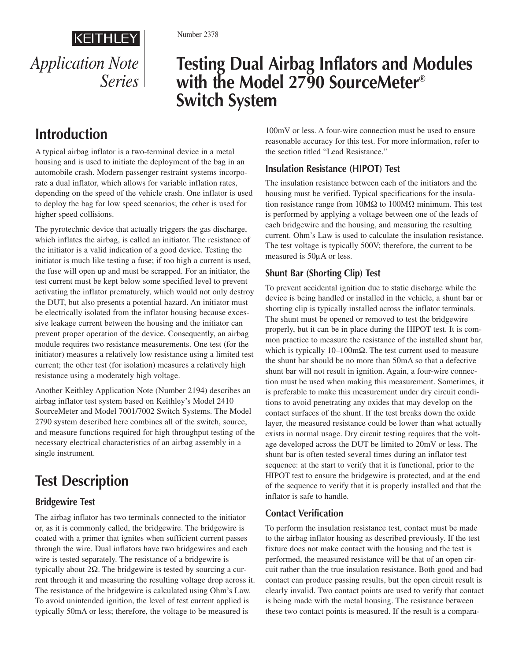# KEITHLEY *Application Note Series*

# **Testing Dual Airbag Inflators and Modules with the Model 2790 SourceMeter® Switch System**

# **Introduction**

A typical airbag inflator is a two-terminal device in a metal housing and is used to initiate the deployment of the bag in an automobile crash. Modern passenger restraint systems incorporate a dual inflator, which allows for variable inflation rates, depending on the speed of the vehicle crash. One inflator is used to deploy the bag for low speed scenarios; the other is used for higher speed collisions.

The pyrotechnic device that actually triggers the gas discharge, which inflates the airbag, is called an initiator. The resistance of the initiator is a valid indication of a good device. Testing the initiator is much like testing a fuse; if too high a current is used, the fuse will open up and must be scrapped. For an initiator, the test current must be kept below some specified level to prevent activating the inflator prematurely, which would not only destroy the DUT, but also presents a potential hazard. An initiator must be electrically isolated from the inflator housing because excessive leakage current between the housing and the initiator can prevent proper operation of the device. Consequently, an airbag module requires two resistance measurements. One test (for the initiator) measures a relatively low resistance using a limited test current; the other test (for isolation) measures a relatively high resistance using a moderately high voltage.

Another Keithley Application Note (Number 2194) describes an airbag inflator test system based on Keithley's Model 2410 SourceMeter and Model 7001/7002 Switch Systems. The Model 2790 system described here combines all of the switch, source, and measure functions required for high throughput testing of the necessary electrical characteristics of an airbag assembly in a single instrument.

# **Test Description**

### **Bridgewire Test**

The airbag inflator has two terminals connected to the initiator or, as it is commonly called, the bridgewire. The bridgewire is coated with a primer that ignites when sufficient current passes through the wire. Dual inflators have two bridgewires and each wire is tested separately. The resistance of a bridgewire is typically about 2Ω. The bridgewire is tested by sourcing a current through it and measuring the resulting voltage drop across it. The resistance of the bridgewire is calculated using Ohm's Law. To avoid unintended ignition, the level of test current applied is typically 50mA or less; therefore, the voltage to be measured is

100mV or less. A four-wire connection must be used to ensure reasonable accuracy for this test. For more information, refer to the section titled "Lead Resistance."

### **Insulation Resistance (HIPOT) Test**

The insulation resistance between each of the initiators and the housing must be verified. Typical specifications for the insulation resistance range from 10MΩ to 100MΩ minimum. This test is performed by applying a voltage between one of the leads of each bridgewire and the housing, and measuring the resulting current. Ohm's Law is used to calculate the insulation resistance. The test voltage is typically 500V; therefore, the current to be measured is 50µA or less.

### **Shunt Bar (Shorting Clip) Test**

To prevent accidental ignition due to static discharge while the device is being handled or installed in the vehicle, a shunt bar or shorting clip is typically installed across the inflator terminals. The shunt must be opened or removed to test the bridgewire properly, but it can be in place during the HIPOT test. It is common practice to measure the resistance of the installed shunt bar, which is typically  $10-100$  m $\Omega$ . The test current used to measure the shunt bar should be no more than 50mA so that a defective shunt bar will not result in ignition. Again, a four-wire connection must be used when making this measurement. Sometimes, it is preferable to make this measurement under dry circuit conditions to avoid penetrating any oxides that may develop on the contact surfaces of the shunt. If the test breaks down the oxide layer, the measured resistance could be lower than what actually exists in normal usage. Dry circuit testing requires that the voltage developed across the DUT be limited to 20mV or less. The shunt bar is often tested several times during an inflator test sequence: at the start to verify that it is functional, prior to the HIPOT test to ensure the bridgewire is protected, and at the end of the sequence to verify that it is properly installed and that the inflator is safe to handle.

### **Contact Verification**

To perform the insulation resistance test, contact must be made to the airbag inflator housing as described previously. If the test fixture does not make contact with the housing and the test is performed, the measured resistance will be that of an open circuit rather than the true insulation resistance. Both good and bad contact can produce passing results, but the open circuit result is clearly invalid. Two contact points are used to verify that contact is being made with the metal housing. The resistance between these two contact points is measured. If the result is a compara-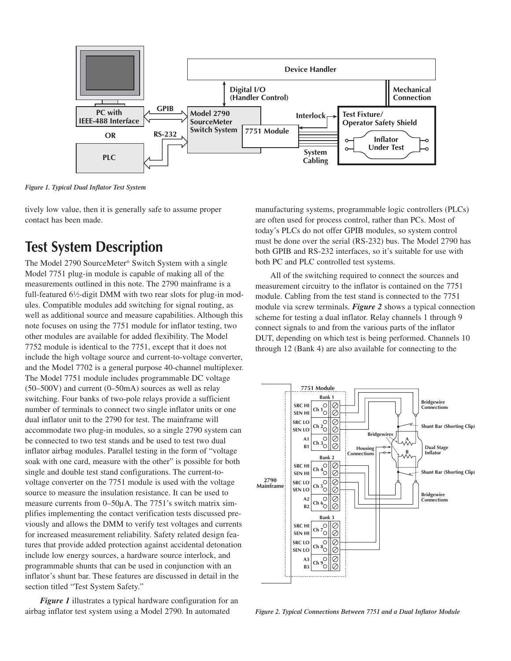

*Figure 1. Typical Dual Inflator Test System*

tively low value, then it is generally safe to assume proper contact has been made.

## **Test System Description**

The Model 2790 SourceMeter® Switch System with a single Model 7751 plug-in module is capable of making all of the measurements outlined in this note. The 2790 mainframe is a full-featured 6<sup>1</sup>/2-digit DMM with two rear slots for plug-in modules. Compatible modules add switching for signal routing, as well as additional source and measure capabilities. Although this note focuses on using the 7751 module for inflator testing, two other modules are available for added flexibility. The Model 7752 module is identical to the 7751, except that it does not include the high voltage source and current-to-voltage converter, and the Model 7702 is a general purpose 40-channel multiplexer. The Model 7751 module includes programmable DC voltage (50–500V) and current (0–50mA) sources as well as relay switching. Four banks of two-pole relays provide a sufficient number of terminals to connect two single inflator units or one dual inflator unit to the 2790 for test. The mainframe will accommodate two plug-in modules, so a single 2790 system can be connected to two test stands and be used to test two dual inflator airbag modules. Parallel testing in the form of "voltage soak with one card, measure with the other" is possible for both single and double test stand configurations. The current-tovoltage converter on the 7751 module is used with the voltage source to measure the insulation resistance. It can be used to measure currents from 0–50µA. The 7751's switch matrix simplifies implementing the contact verification tests discussed previously and allows the DMM to verify test voltages and currents for increased measurement reliability. Safety related design features that provide added protection against accidental detonation include low energy sources, a hardware source interlock, and programmable shunts that can be used in conjunction with an inflator's shunt bar. These features are discussed in detail in the section titled "Test System Safety."

*Figure 1* illustrates a typical hardware configuration for an airbag inflator test system using a Model 2790. In automated

manufacturing systems, programmable logic controllers (PLCs) are often used for process control, rather than PCs. Most of today's PLCs do not offer GPIB modules, so system control must be done over the serial (RS-232) bus. The Model 2790 has both GPIB and RS-232 interfaces, so it's suitable for use with both PC and PLC controlled test systems.

All of the switching required to connect the sources and measurement circuitry to the inflator is contained on the 7751 module. Cabling from the test stand is connected to the 7751 module via screw terminals. *Figure 2* shows a typical connection scheme for testing a dual inflator. Relay channels 1 through 9 connect signals to and from the various parts of the inflator DUT, depending on which test is being performed. Channels 10 through 12 (Bank 4) are also available for connecting to the



*Figure 2. Typical Connections Between 7751 and a Dual Inflator Module*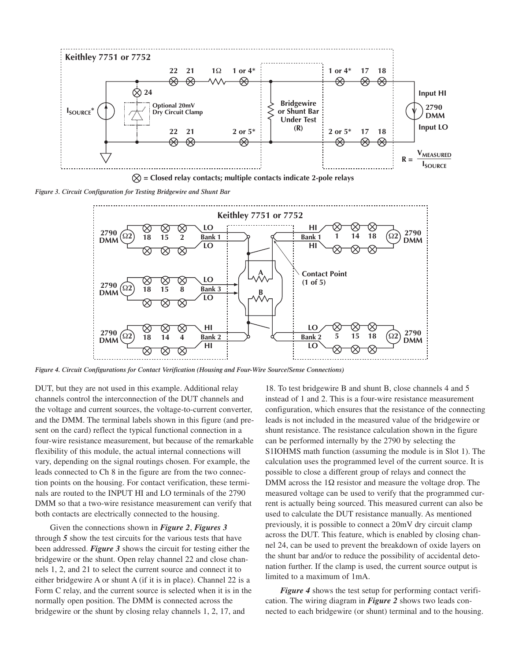

**= Closed relay contacts; multiple contacts indicate 2-pole relays**

*Figure 3. Circuit Configuration for Testing Bridgewire and Shunt Bar*



*Figure 4. Circuit Configurations for Contact Verification (Housing and Four-Wire Source/Sense Connections)*

DUT, but they are not used in this example. Additional relay channels control the interconnection of the DUT channels and the voltage and current sources, the voltage-to-current converter, and the DMM. The terminal labels shown in this figure (and present on the card) reflect the typical functional connection in a four-wire resistance measurement, but because of the remarkable flexibility of this module, the actual internal connections will vary, depending on the signal routings chosen. For example, the leads connected to Ch 8 in the figure are from the two connection points on the housing. For contact verification, these terminals are routed to the INPUT HI and LO terminals of the 2790 DMM so that a two-wire resistance measurement can verify that both contacts are electrically connected to the housing.

Given the connections shown in *Figure 2*, *Figures 3* through *5* show the test circuits for the various tests that have been addressed. *Figure 3* shows the circuit for testing either the bridgewire or the shunt. Open relay channel 22 and close channels 1, 2, and 21 to select the current source and connect it to either bridgewire A or shunt A (if it is in place). Channel 22 is a Form C relay, and the current source is selected when it is in the normally open position. The DMM is connected across the bridgewire or the shunt by closing relay channels 1, 2, 17, and

18. To test bridgewire B and shunt B, close channels 4 and 5 instead of 1 and 2. This is a four-wire resistance measurement configuration, which ensures that the resistance of the connecting leads is not included in the measured value of the bridgewire or shunt resistance. The resistance calculation shown in the figure can be performed internally by the 2790 by selecting the S1IOHMS math function (assuming the module is in Slot 1). The calculation uses the programmed level of the current source. It is possible to close a different group of relays and connect the DMM across the  $1\Omega$  resistor and measure the voltage drop. The measured voltage can be used to verify that the programmed current is actually being sourced. This measured current can also be used to calculate the DUT resistance manually. As mentioned previously, it is possible to connect a 20mV dry circuit clamp across the DUT. This feature, which is enabled by closing channel 24, can be used to prevent the breakdown of oxide layers on the shunt bar and/or to reduce the possibility of accidental detonation further. If the clamp is used, the current source output is limited to a maximum of 1mA.

*Figure 4* shows the test setup for performing contact verification. The wiring diagram in *Figure 2* shows two leads connected to each bridgewire (or shunt) terminal and to the housing.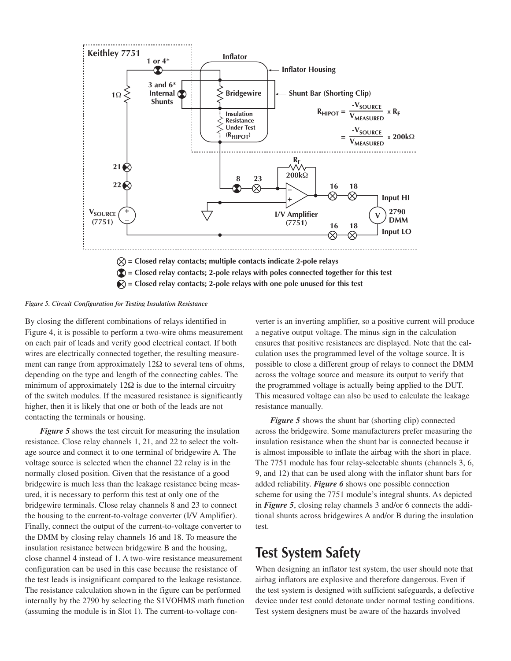

#### *Figure 5. Circuit Configuration for Testing Insulation Resistance*

By closing the different combinations of relays identified in Figure 4, it is possible to perform a two-wire ohms measurement on each pair of leads and verify good electrical contact. If both wires are electrically connected together, the resulting measurement can range from approximately  $12\Omega$  to several tens of ohms, depending on the type and length of the connecting cables. The minimum of approximately  $12\Omega$  is due to the internal circuitry of the switch modules. If the measured resistance is significantly higher, then it is likely that one or both of the leads are not contacting the terminals or housing.

*Figure 5* shows the test circuit for measuring the insulation resistance. Close relay channels 1, 21, and 22 to select the voltage source and connect it to one terminal of bridgewire A. The voltage source is selected when the channel 22 relay is in the normally closed position. Given that the resistance of a good bridgewire is much less than the leakage resistance being measured, it is necessary to perform this test at only one of the bridgewire terminals. Close relay channels 8 and 23 to connect the housing to the current-to-voltage converter (I/V Amplifier). Finally, connect the output of the current-to-voltage converter to the DMM by closing relay channels 16 and 18. To measure the insulation resistance between bridgewire B and the housing, close channel 4 instead of 1. A two-wire resistance measurement configuration can be used in this case because the resistance of the test leads is insignificant compared to the leakage resistance. The resistance calculation shown in the figure can be performed internally by the 2790 by selecting the S1VOHMS math function (assuming the module is in Slot 1). The current-to-voltage converter is an inverting amplifier, so a positive current will produce a negative output voltage. The minus sign in the calculation ensures that positive resistances are displayed. Note that the calculation uses the programmed level of the voltage source. It is possible to close a different group of relays to connect the DMM across the voltage source and measure its output to verify that the programmed voltage is actually being applied to the DUT. This measured voltage can also be used to calculate the leakage resistance manually.

*Figure 5* shows the shunt bar (shorting clip) connected across the bridgewire. Some manufacturers prefer measuring the insulation resistance when the shunt bar is connected because it is almost impossible to inflate the airbag with the short in place. The 7751 module has four relay-selectable shunts (channels 3, 6, 9, and 12) that can be used along with the inflator shunt bars for added reliability. *Figure 6* shows one possible connection scheme for using the 7751 module's integral shunts. As depicted in *Figure 5*, closing relay channels 3 and/or 6 connects the additional shunts across bridgewires A and/or B during the insulation test.

## **Test System Safety**

When designing an inflator test system, the user should note that airbag inflators are explosive and therefore dangerous. Even if the test system is designed with sufficient safeguards, a defective device under test could detonate under normal testing conditions. Test system designers must be aware of the hazards involved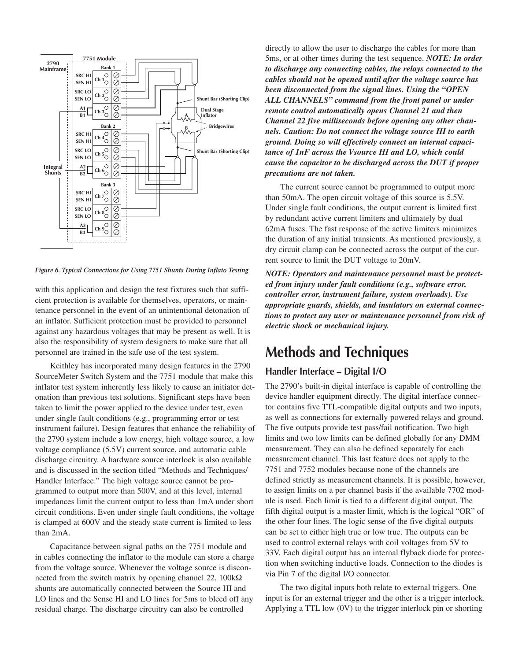

*Figure 6. Typical Connections for Using 7751 Shunts During Inflato Testing*

with this application and design the test fixtures such that sufficient protection is available for themselves, operators, or maintenance personnel in the event of an unintentional detonation of an inflator. Sufficient protection must be provided to personnel against any hazardous voltages that may be present as well. It is also the responsibility of system designers to make sure that all personnel are trained in the safe use of the test system.

Keithley has incorporated many design features in the 2790 SourceMeter Switch System and the 7751 module that make this inflator test system inherently less likely to cause an initiator detonation than previous test solutions. Significant steps have been taken to limit the power applied to the device under test, even under single fault conditions (e.g., programming error or test instrument failure). Design features that enhance the reliability of the 2790 system include a low energy, high voltage source, a low voltage compliance (5.5V) current source, and automatic cable discharge circuitry. A hardware source interlock is also available and is discussed in the section titled "Methods and Techniques/ Handler Interface." The high voltage source cannot be programmed to output more than 500V, and at this level, internal impedances limit the current output to less than 1mA under short circuit conditions. Even under single fault conditions, the voltage is clamped at 600V and the steady state current is limited to less than 2mA.

Capacitance between signal paths on the 7751 module and in cables connecting the inflator to the module can store a charge from the voltage source. Whenever the voltage source is disconnected from the switch matrix by opening channel 22, 100kΩ shunts are automatically connected between the Source HI and LO lines and the Sense HI and LO lines for 5ms to bleed off any residual charge. The discharge circuitry can also be controlled

directly to allow the user to discharge the cables for more than 5ms, or at other times during the test sequence. *NOTE: In order to discharge any connecting cables, the relays connected to the cables should not be opened until after the voltage source has been disconnected from the signal lines. Using the "OPEN ALL CHANNELS" command from the front panel or under remote control automatically opens Channel 21 and then Channel 22 five milliseconds before opening any other channels. Caution: Do not connect the voltage source HI to earth ground. Doing so will effectively connect an internal capacitance of 1nF across the Vsource HI and LO, which could cause the capacitor to be discharged across the DUT if proper precautions are not taken.*

The current source cannot be programmed to output more than 50mA. The open circuit voltage of this source is 5.5V. Under single fault conditions, the output current is limited first by redundant active current limiters and ultimately by dual 62mA fuses. The fast response of the active limiters minimizes the duration of any initial transients. As mentioned previously, a dry circuit clamp can be connected across the output of the current source to limit the DUT voltage to 20mV.

*NOTE: Operators and maintenance personnel must be protected from injury under fault conditions (e.g., software error, controller error, instrument failure, system overloads). Use appropriate guards, shields, and insulators on external connections to protect any user or maintenance personnel from risk of electric shock or mechanical injury.*

## **Methods and Techniques**

#### **Handler Interface – Digital I/O**

The 2790's built-in digital interface is capable of controlling the device handler equipment directly. The digital interface connector contains five TTL-compatible digital outputs and two inputs, as well as connections for externally powered relays and ground. The five outputs provide test pass/fail notification. Two high limits and two low limits can be defined globally for any DMM measurement. They can also be defined separately for each measurement channel. This last feature does not apply to the 7751 and 7752 modules because none of the channels are defined strictly as measurement channels. It is possible, however, to assign limits on a per channel basis if the available 7702 module is used. Each limit is tied to a different digital output. The fifth digital output is a master limit, which is the logical "OR" of the other four lines. The logic sense of the five digital outputs can be set to either high true or low true. The outputs can be used to control external relays with coil voltages from 5V to 33V. Each digital output has an internal flyback diode for protection when switching inductive loads. Connection to the diodes is via Pin 7 of the digital I/O connector.

The two digital inputs both relate to external triggers. One input is for an external trigger and the other is a trigger interlock. Applying a TTL low (0V) to the trigger interlock pin or shorting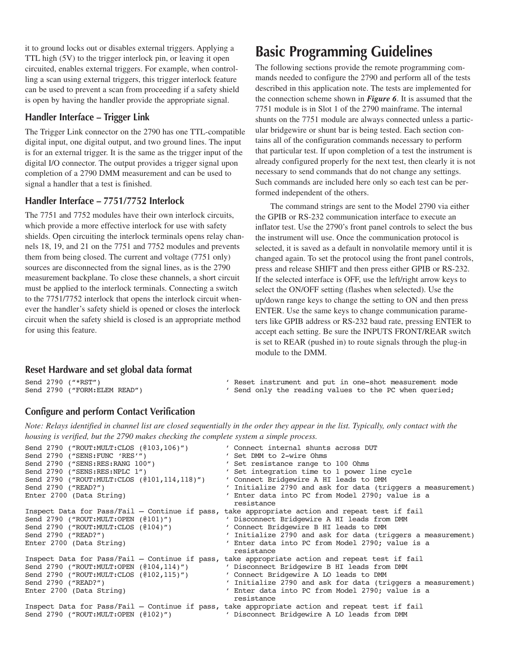it to ground locks out or disables external triggers. Applying a TTL high (5V) to the trigger interlock pin, or leaving it open circuited, enables external triggers. For example, when controlling a scan using external triggers, this trigger interlock feature can be used to prevent a scan from proceeding if a safety shield is open by having the handler provide the appropriate signal.

#### **Handler Interface – Trigger Link**

The Trigger Link connector on the 2790 has one TTL-compatible digital input, one digital output, and two ground lines. The input is for an external trigger. It is the same as the trigger input of the digital I/O connector. The output provides a trigger signal upon completion of a 2790 DMM measurement and can be used to signal a handler that a test is finished.

#### **Handler Interface – 7751/7752 Interlock**

The 7751 and 7752 modules have their own interlock circuits, which provide a more effective interlock for use with safety shields. Open circuiting the interlock terminals opens relay channels 18, 19, and 21 on the 7751 and 7752 modules and prevents them from being closed. The current and voltage (7751 only) sources are disconnected from the signal lines, as is the 2790 measurement backplane. To close these channels, a short circuit must be applied to the interlock terminals. Connecting a switch to the 7751/7752 interlock that opens the interlock circuit whenever the handler's safety shield is opened or closes the interlock circuit when the safety shield is closed is an appropriate method for using this feature.

## **Basic Programming Guidelines**

The following sections provide the remote programming commands needed to configure the 2790 and perform all of the tests described in this application note. The tests are implemented for the connection scheme shown in *Figure 6*. It is assumed that the 7751 module is in Slot 1 of the 2790 mainframe. The internal shunts on the 7751 module are always connected unless a particular bridgewire or shunt bar is being tested. Each section contains all of the configuration commands necessary to perform that particular test. If upon completion of a test the instrument is already configured properly for the next test, then clearly it is not necessary to send commands that do not change any settings. Such commands are included here only so each test can be performed independent of the others.

The command strings are sent to the Model 2790 via either the GPIB or RS-232 communication interface to execute an inflator test. Use the 2790's front panel controls to select the bus the instrument will use. Once the communication protocol is selected, it is saved as a default in nonvolatile memory until it is changed again. To set the protocol using the front panel controls, press and release SHIFT and then press either GPIB or RS-232. If the selected interface is OFF, use the left/right arrow keys to select the ON/OFF setting (flashes when selected). Use the up/down range keys to change the setting to ON and then press ENTER. Use the same keys to change communication parameters like GPIB address or RS-232 baud rate, pressing ENTER to accept each setting. Be sure the INPUTS FRONT/REAR switch is set to REAR (pushed in) to route signals through the plug-in module to the DMM.

#### **Reset Hardware and set global data format**

Send 2790 ("\*RST")  $\qquad$  ' Reset instrument and put in one-shot measurement mode<br>Send 2790 ("FORM:ELEM READ")  $\qquad$  ' Send only the reading values to the PC when queried; ' Send only the reading values to the PC when queried;

#### **Configure and perform Contact Verification**

*Note: Relays identified in channel list are closed sequentially in the order they appear in the list. Typically, only contact with the housing is verified, but the 2790 makes checking the complete system a simple process.*

| Send 2790 ("ROUT:MULT:CLOS (0103,106)")     | ' Connect internal shunts across DUT                                                           |
|---------------------------------------------|------------------------------------------------------------------------------------------------|
| Send 2790 ("SENS: FUNC 'RES'")              | ' Set DMM to 2-wire Ohms                                                                       |
| Send 2790 ("SENS:RES:RANG 100")             | ' Set resistance range to 100 Ohms                                                             |
| Send 2790 ("SENS:RES:NPLC 1")               | ' Set integration time to 1 power line cycle                                                   |
| Send 2790 ("ROUT:MULT:CLOS (@101,114,118)") | ' Connect Bridgewire A HI leads to DMM                                                         |
| Send 2790 ("READ?")                         | ' Initialize 2790 and ask for data (triggers a measurement)                                    |
| Enter 2700 (Data String)                    | ' Enter data into PC from Model 2790; value is a                                               |
|                                             | resistance                                                                                     |
|                                             | Inspect Data for Pass/Fail - Continue if pass, take appropriate action and repeat test if fail |
| Send 2790 ("ROUT:MULT:OPEN $(0101)$ ")      | ' Disconnect Bridgewire A HI leads from DMM                                                    |
| Send 2790 ("ROUT:MULT:CLOS (@104)")         | ' Connect Bridgewire B HI leads to DMM                                                         |
| Send 2790 ("READ?")                         | ' Initialize 2790 and ask for data (triggers a measurement)                                    |
| Enter 2700 (Data String)                    | ' Enter data into PC from Model 2790; value is a                                               |
|                                             | resistance                                                                                     |
|                                             | Inspect Data for Pass/Fail - Continue if pass, take appropriate action and repeat test if fail |
| Send 2790 ("ROUT:MULT:OPEN (0104,114)")     | ' Disconnect Bridgewire B HI leads from DMM                                                    |
| Send 2790 ("ROUT:MULT:CLOS (0102,115)")     | ' Connect Bridgewire A LO leads to DMM                                                         |
| Send 2790 ("READ?")                         | ' Initialize 2790 and ask for data (triggers a measurement)                                    |
| Enter 2700 (Data String)                    | ' Enter data into PC from Model 2790; value is a                                               |
|                                             | resistance                                                                                     |
|                                             | Inspect Data for Pass/Fail - Continue if pass, take appropriate action and repeat test if fail |
| Send 2790 ("ROUT:MULT:OPEN (0102)")         | ' Disconnect Bridgewire A LO leads from DMM                                                    |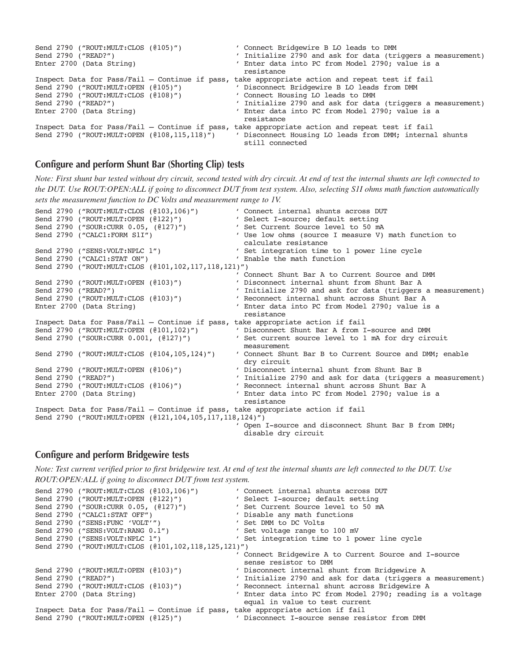| Send 2790 ("ROUT:MULT:CLOS (0105)")<br>Send 2790 ("READ?")<br>Enter 2700 (Data String)                                        | ' Connect Bridgewire B LO leads to DMM<br>' Initialize 2790 and ask for data (triggers a measurement)<br>' Enter data into PC from Model 2790; value is a<br>resistance                                                                                                                                           |
|-------------------------------------------------------------------------------------------------------------------------------|-------------------------------------------------------------------------------------------------------------------------------------------------------------------------------------------------------------------------------------------------------------------------------------------------------------------|
| Send 2790 ("ROUT:MULT:OPEN (0105)")<br>Send 2790 ("ROUT:MULT:CLOS (0108)")<br>Send 2790 ("READ?")<br>Enter 2700 (Data String) | Inspect Data for Pass/Fail - Continue if pass, take appropriate action and repeat test if fail<br>' Disconnect Bridgewire B LO leads from DMM<br>' Connect Housing LO leads to DMM<br>Initialize 2790 and ask for data (triggers a measurement)<br>' Enter data into PC from Model 2790; value is a<br>resistance |
| Send 2790 ("ROUT:MULT:OPEN (@108,115,118)")                                                                                   | Inspect Data for Pass/Fail - Continue if pass, take appropriate action and repeat test if fail<br>' Disconnect Housing LO leads from DMM; internal shunts<br>still connected                                                                                                                                      |

#### **Configure and perform Shunt Bar (Shorting Clip) tests**

*Note: First shunt bar tested without dry circuit, second tested with dry circuit. At end of test the internal shunts are left connected to the DUT. Use ROUT:OPEN:ALL if going to disconnect DUT from test system. Also, selecting S1I ohms math function automatically sets the measurement function to DC Volts and measurement range to 1V.*

| Send 2790 ("ROUT:MULT:CLOS (0103,106)")                                        | ' Connect internal shunts across DUT                        |  |  |  |  |
|--------------------------------------------------------------------------------|-------------------------------------------------------------|--|--|--|--|
| Send 2790 ("ROUT:MULT:OPEN (0122)")                                            | ' Select I-source; default setting                          |  |  |  |  |
| Send 2790 ("SOUR:CURR 0.05, (@127)")                                           | ' Set Current Source level to 50 mA                         |  |  |  |  |
| Send 2790 ("CALC1:FORM S1I")                                                   | ' Use low ohms (source I measure V) math function to        |  |  |  |  |
|                                                                                | calculate resistance                                        |  |  |  |  |
| Send 2790 ("SENS:VOLT:NPLC 1")                                                 | ' Set integration time to 1 power line cycle                |  |  |  |  |
| Send 2790 ("CALC1:STAT ON")                                                    | ' Enable the math function                                  |  |  |  |  |
| Send 2790 ("ROUT:MULT:CLOS (@101,102,117,118,121)")                            |                                                             |  |  |  |  |
|                                                                                | ' Connect Shunt Bar A to Current Source and DMM             |  |  |  |  |
| Send 2790 ("ROUT:MULT:OPEN (0103)")                                            | ' Disconnect internal shunt from Shunt Bar A                |  |  |  |  |
| Send 2790 ("READ?")                                                            | ' Initialize 2790 and ask for data (triggers a measurement) |  |  |  |  |
| Send 2790 ("ROUT:MULT:CLOS (0103)")                                            | ' Reconnect internal shunt across Shunt Bar A               |  |  |  |  |
| Enter 2700 (Data String)                                                       | ' Enter data into PC from Model 2790; value is a            |  |  |  |  |
|                                                                                | resistance                                                  |  |  |  |  |
| Inspect Data for Pass/Fail - Continue if pass, take appropriate action if fail |                                                             |  |  |  |  |
| Send 2790 ("ROUT:MULT:OPEN (@101,102)")                                        | ' Disconnect Shunt Bar A from I-source and DMM              |  |  |  |  |
| Send 2790 ("SOUR: CURR 0.001, (0127)")                                         | ' Set current source level to 1 mA for dry circuit          |  |  |  |  |
|                                                                                | measurement                                                 |  |  |  |  |
| Send 2790 ("ROUT:MULT:CLOS (0104,105,124)")                                    | ' Connect Shunt Bar B to Current Source and DMM; enable     |  |  |  |  |
|                                                                                | dry circuit                                                 |  |  |  |  |
| Send 2790 ("ROUT:MULT:OPEN $(0106)$ ")                                         | ' Disconnect internal shunt from Shunt Bar B                |  |  |  |  |
| Send 2790 ("READ?")                                                            | ' Initialize 2790 and ask for data (triggers a measurement) |  |  |  |  |
| Send 2790 ("ROUT:MULT:CLOS (0106)")                                            | ' Reconnect internal shunt across Shunt Bar A               |  |  |  |  |
| Enter 2700 (Data String)                                                       | ' Enter data into PC from Model 2790; value is a            |  |  |  |  |
|                                                                                | resistance                                                  |  |  |  |  |
| Inspect Data for Pass/Fail - Continue if pass, take appropriate action if fail |                                                             |  |  |  |  |
| Send 2790 ("ROUT:MULT:OPEN (@121,104,105,117,118,124)")                        |                                                             |  |  |  |  |
|                                                                                | ' Open I-source and disconnect Shunt Bar B from DMM;        |  |  |  |  |
|                                                                                | disable dry circuit                                         |  |  |  |  |

#### **Configure and perform Bridgewire tests**

*Note: Test current verified prior to first bridgewire test. At end of test the internal shunts are left connected to the DUT. Use ROUT:OPEN:ALL if going to disconnect DUT from test system.*

|  | Send 2790 ("ROUT:MULT:CLOS (@103,106)") |                                                     | ' Connect internal shunts across DUT                                           |
|--|-----------------------------------------|-----------------------------------------------------|--------------------------------------------------------------------------------|
|  | Send 2790 ("ROUT:MULT:OPEN (0122)")     |                                                     | ' Select I-source; default setting                                             |
|  | Send 2790 ("SOUR:CURR 0.05, (@127)")    |                                                     | ' Set Current Source level to 50 mA                                            |
|  | Send 2790 ("CALC1:STAT OFF")            |                                                     | ' Disable any math functions                                                   |
|  | Send 2790 ("SENS: FUNC 'VOLT'")         |                                                     | ' Set DMM to DC Volts                                                          |
|  | Send 2790 ("SENS: VOLT: RANG 0.1")      |                                                     | ' Set voltage range to 100 mV                                                  |
|  | Send 2790 ("SENS:VOLT:NPLC 1")          |                                                     | ' Set integration time to 1 power line cycle                                   |
|  |                                         | Send 2790 ("ROUT:MULT:CLOS (@101,102,118,125,121)") |                                                                                |
|  |                                         |                                                     | Connect Bridgewire A to Current Source and I-source                            |
|  |                                         |                                                     | sense resistor to DMM                                                          |
|  | Send 2790 ("ROUT:MULT:OPEN (0103)")     |                                                     | ' Disconnect internal shunt from Bridgewire A                                  |
|  | Send 2790 ("READ?")                     |                                                     | ' Initialize 2790 and ask for data (triggers a measurement)                    |
|  | Send 2790 ("ROUT:MULT:CLOS ( $(103)$ ") |                                                     | ' Reconnect internal shunt across Bridgewire A                                 |
|  | Enter 2700 (Data String)                |                                                     | ' Enter data into PC from Model 2790; reading is a voltage                     |
|  |                                         |                                                     | equal in value to test current                                                 |
|  |                                         |                                                     | Inspect Data for Pass/Fail - Continue if pass, take appropriate action if fail |
|  | Send 2790 ("ROUT:MULT:OPEN (0125)")     |                                                     | ' Disconnect I-source sense resistor from DMM                                  |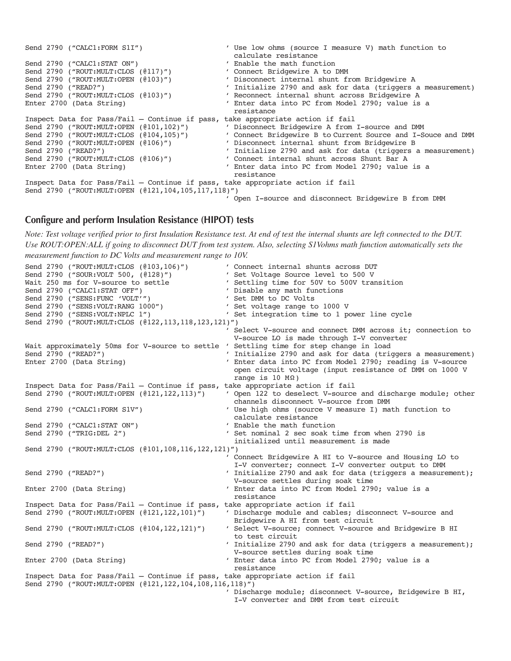```
Send 2790 ("CALC1:FORM S1I") ' Use low ohms (source I measure V) math function to calculate resistance
                                               calculate resistance
Send 2790 ("CALC1:STAT ON") ' Enable the math function
Send 2790 ("ROUT:MULT:CLOS (0117)") ' Connect Bridgewire A to DMM
Send 2790 ("ROUT:MULT:OPEN (@103)") ' Disconnect internal shunt from Bridgewire A
Send 2790 ("READ?") ' Initialize 2790 and ask for data (triggers a measurement)
Send 2790 ("ROUT:MULT:CLOS (@103)") ' Reconnect internal shunt across Bridgewire A
Enter 2700 (Data String) ' Enter data into PC from Model 2790; value is a 
                                               resistance
Inspect Data for Pass/Fail – Continue if pass, take appropriate action if fail
Send 2790 ("ROUT:MULT:OPEN (@101,102)") ' Disconnect Bridgewire A from I-source and DMM
Send 2790 ("ROUT:MULT:CLOS (@104,105)") ' Connect Bridgewire B to Current Source and I-Souce and DMM
Send 2790 ("ROUT:MULT:OPEN (@106)") ' Disconnect internal shunt from Bridgewire B
Send 2790 ("READ?") ' Initialize 2790 and ask for data (triggers a measurement)
Send 2790 ("ROUT:MULT:CLOS (@106)") ' Connect internal shunt across Shunt Bar A
End 2790 ("READ?")<br>
Send 2790 ("ROUT:MULT:CLOS (@106)") (Connect internal shunt across Shunt Bar A<br>
Enter 2700 (Data String) (Enter data into PC from Model 2790; value is a
                                               resistance
Inspect Data for Pass/Fail – Continue if pass, take appropriate action if fail
Send 2790 ("ROUT:MULT:OPEN (@121,104,105,117,118)")
                                              ' Open I-source and disconnect Bridgewire B from DMM
```
#### **Configure and perform Insulation Resistance (HIPOT) tests**

*Note: Test voltage verified prior to first Insulation Resistance test. At end of test the internal shunts are left connected to the DUT. Use ROUT:OPEN:ALL if going to disconnect DUT from test system. Also, selecting S1Vohms math function automatically sets the measurement function to DC Volts and measurement range to 10V.*

```
Send 2790 ("ROUT:MULT:CLOS (@103,106)") 			 ' Connect internal shunts across DUT
Send 2790 ("SOUR:VOLT 500, (@128)") ' Set Voltage Source level to 500 V
Wait 250 ms for V-source to settle ' Settling time for 50V to 500V transition
Send 2790 ("CALC1:STAT OFF") 	 ' Disable any math functions
Send 2790 ("SENS:FUNC 'VOLT'") ' Set DMM to DC Volts
Send 2790 ("SENS:FUNC 'VOLT'")<br>
Send 2790 ("SENS:VOLT:RANG 1000") ' Set voltage range to 1000 V<br>
Send 2790 ("SENS:VOLT:NPLC 1") ' Set integration time to 1 po
                                              ' Set integration time to 1 power line cycle
Send 2790 ("ROUT:MULT:CLOS (@122,113,118,123,121)")
                                                Select V-source and connect DMM across it; connection to
                                                V-source LO is made through I-V converter
Wait approximately 50ms for V-source to settle ' Settling time for step change in load
Send 2790 ("READ?") ("READ?") ' Initialize 2790 and ask for data (triggers a measurement)<br>Enter 2700 (Data String) ' Enter data into PC from Model 2790; reading is V-source
                                               ' Enter data into PC from Model 2790; reading is V-source
                                                 open circuit voltage (input resistance of DMM on 1000 V
                                                 range is 10 \text{ M}\Omega)
Inspect Data for Pass/Fail – Continue if pass, take appropriate action if fail
Send 2790 ("ROUT:MULT:OPEN (@121,122,113)") ' Open 122 to deselect V-source and discharge module; other
                                                channels disconnect V-source from DMM
Send 2790 ("CALC1:FORM S1V") ' Use high ohms (source V measure I) math function to
                                                calculate resistance
Send 2790 ("CALC1:STAT ON") ' Enable the math function
Send 2790 ("TRIG:DEL 2") ' Set nominal 2 sec soak time from when 2790 is
                                                 initialized until measurement is made
Send 2790 ("ROUT:MULT:CLOS (@101,108,116,122,121)")
                                               ' Connect Bridgewire A HI to V-source and Housing LO to 
                                                I-V converter; connect I-V converter output to DMM
Send 2790 ("READ?") \blacksquare Initialize 2790 and ask for data (triggers a measurement);
                                                V-source settles during soak time
Enter 2700 (Data String) \overline{ } Enter data into PC from Model 2790; value is a
                                                 resistance
Inspect Data for Pass/Fail – Continue if pass, take appropriate action if fail
Send 2790 ("ROUT:MULT:OPEN (@121,122,101)") ' Discharge module and cables; disconnect V-source and
                                                Bridgewire A HI from test circuit
Send 2790 ("ROUT:MULT:CLOS (@104,122,121)") ' Select V-source; connect V-source and Bridgewire B HI 
                                                to test circuit
Send 2790 ("READ?") ' Initialize 2790 and ask for data (triggers a measurement);
                                                V-source settles during soak time
Enter 2700 (Data String) \overline{ } Enter data into PC from Model 2790; value is a
                                                 resistance
Inspect Data for Pass/Fail – Continue if pass, take appropriate action if fail
Send 2790 ("ROUT:MULT:OPEN (@121,122,104,108,116,118)")
                                                Discharge module; disconnect V-source, Bridgewire B HI,
                                                 I-V converter and DMM from test circuit
```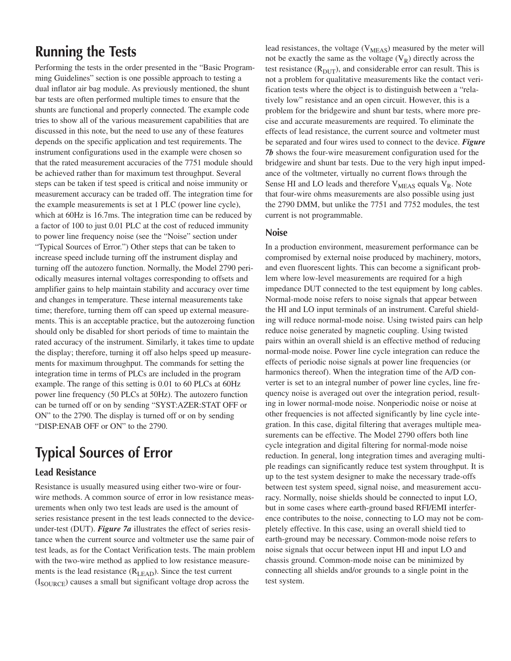## **Running the Tests**

Performing the tests in the order presented in the "Basic Programming Guidelines" section is one possible approach to testing a dual inflator air bag module. As previously mentioned, the shunt bar tests are often performed multiple times to ensure that the shunts are functional and properly connected. The example code tries to show all of the various measurement capabilities that are discussed in this note, but the need to use any of these features depends on the specific application and test requirements. The instrument configurations used in the example were chosen so that the rated measurement accuracies of the 7751 module should be achieved rather than for maximum test throughput. Several steps can be taken if test speed is critical and noise immunity or measurement accuracy can be traded off. The integration time for the example measurements is set at 1 PLC (power line cycle), which at 60Hz is 16.7ms. The integration time can be reduced by a factor of 100 to just 0.01 PLC at the cost of reduced immunity to power line frequency noise (see the "Noise" section under "Typical Sources of Error.") Other steps that can be taken to increase speed include turning off the instrument display and turning off the autozero function. Normally, the Model 2790 periodically measures internal voltages corresponding to offsets and amplifier gains to help maintain stability and accuracy over time and changes in temperature. These internal measurements take time; therefore, turning them off can speed up external measurements. This is an acceptable practice, but the autozeroing function should only be disabled for short periods of time to maintain the rated accuracy of the instrument. Similarly, it takes time to update the display; therefore, turning it off also helps speed up measurements for maximum throughput. The commands for setting the integration time in terms of PLCs are included in the program example. The range of this setting is 0.01 to 60 PLCs at 60Hz power line frequency (50 PLCs at 50Hz). The autozero function can be turned off or on by sending "SYST:AZER:STAT OFF or ON" to the 2790. The display is turned off or on by sending "DISP:ENAB OFF or ON" to the 2790.

# **Typical Sources of Error**

### **Lead Resistance**

Resistance is usually measured using either two-wire or fourwire methods. A common source of error in low resistance measurements when only two test leads are used is the amount of series resistance present in the test leads connected to the deviceunder-test (DUT). *Figure 7a* illustrates the effect of series resistance when the current source and voltmeter use the same pair of test leads, as for the Contact Verification tests. The main problem with the two-wire method as applied to low resistance measurements is the lead resistance  $(R<sub>LEAD</sub>)$ . Since the test current  $(I_{\text{SOURCE}})$  causes a small but significant voltage drop across the

lead resistances, the voltage  $(V_{MEAS})$  measured by the meter will not be exactly the same as the voltage  $(V_R)$  directly across the test resistance  $(R<sub>DUT</sub>)$ , and considerable error can result. This is not a problem for qualitative measurements like the contact verification tests where the object is to distinguish between a "relatively low" resistance and an open circuit. However, this is a problem for the bridgewire and shunt bar tests, where more precise and accurate measurements are required. To eliminate the effects of lead resistance, the current source and voltmeter must be separated and four wires used to connect to the device. *Figure 7b* shows the four-wire measurement configuration used for the bridgewire and shunt bar tests. Due to the very high input impedance of the voltmeter, virtually no current flows through the Sense HI and LO leads and therefore  $V_{MEAS}$  equals  $V_R$ . Note that four-wire ohms measurements are also possible using just the 2790 DMM, but unlike the 7751 and 7752 modules, the test current is not programmable.

#### **Noise**

In a production environment, measurement performance can be compromised by external noise produced by machinery, motors, and even fluorescent lights. This can become a significant problem where low-level measurements are required for a high impedance DUT connected to the test equipment by long cables. Normal-mode noise refers to noise signals that appear between the HI and LO input terminals of an instrument. Careful shielding will reduce normal-mode noise. Using twisted pairs can help reduce noise generated by magnetic coupling. Using twisted pairs within an overall shield is an effective method of reducing normal-mode noise. Power line cycle integration can reduce the effects of periodic noise signals at power line frequencies (or harmonics thereof). When the integration time of the A/D converter is set to an integral number of power line cycles, line frequency noise is averaged out over the integration period, resulting in lower normal-mode noise. Nonperiodic noise or noise at other frequencies is not affected significantly by line cycle integration. In this case, digital filtering that averages multiple measurements can be effective. The Model 2790 offers both line cycle integration and digital filtering for normal-mode noise reduction. In general, long integration times and averaging multiple readings can significantly reduce test system throughput. It is up to the test system designer to make the necessary trade-offs between test system speed, signal noise, and measurement accuracy. Normally, noise shields should be connected to input LO, but in some cases where earth-ground based RFI/EMI interference contributes to the noise, connecting to LO may not be completely effective. In this case, using an overall shield tied to earth-ground may be necessary. Common-mode noise refers to noise signals that occur between input HI and input LO and chassis ground. Common-mode noise can be minimized by connecting all shields and/or grounds to a single point in the test system.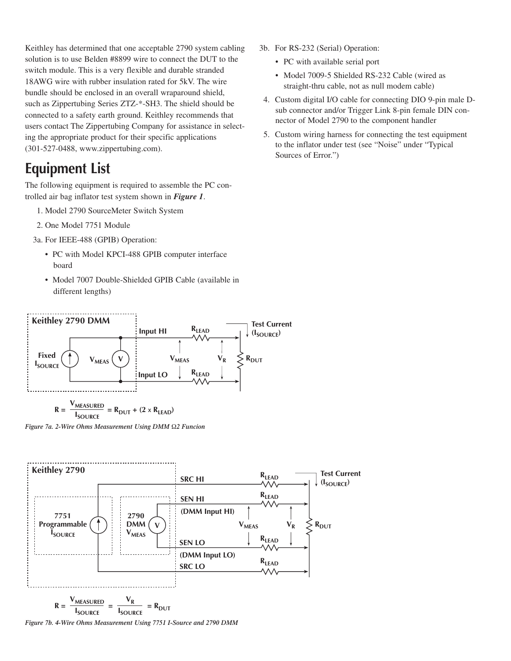Keithley has determined that one acceptable 2790 system cabling solution is to use Belden #8899 wire to connect the DUT to the switch module. This is a very flexible and durable stranded 18AWG wire with rubber insulation rated for 5kV. The wire bundle should be enclosed in an overall wraparound shield, such as Zippertubing Series ZTZ-\*-SH3. The shield should be connected to a safety earth ground. Keithley recommends that users contact The Zippertubing Company for assistance in selecting the appropriate product for their specific applications (301-527-0488, www.zippertubing.com).

## **Equipment List**

The following equipment is required to assemble the PC controlled air bag inflator test system shown in *Figure 1*.

- 1. Model 2790 SourceMeter Switch System
- 2. One Model 7751 Module

3a. For IEEE-488 (GPIB) Operation:

- PC with Model KPCI-488 GPIB computer interface board
- Model 7007 Double-Shielded GPIB Cable (available in different lengths)
- 3b. For RS-232 (Serial) Operation:
	- PC with available serial port
	- Model 7009-5 Shielded RS-232 Cable (wired as straight-thru cable, not as null modem cable)
- 4. Custom digital I/O cable for connecting DIO 9-pin male Dsub connector and/or Trigger Link 8-pin female DIN connector of Model 2790 to the component handler
- 5. Custom wiring harness for connecting the test equipment to the inflator under test (see "Noise" under "Typical Sources of Error.")



*Figure 7a. 2-Wire Ohms Measurement Using DMM* Ω*2 Funcion*



*Figure 7b. 4-Wire Ohms Measurement Using 7751 I-Source and 2790 DMM*